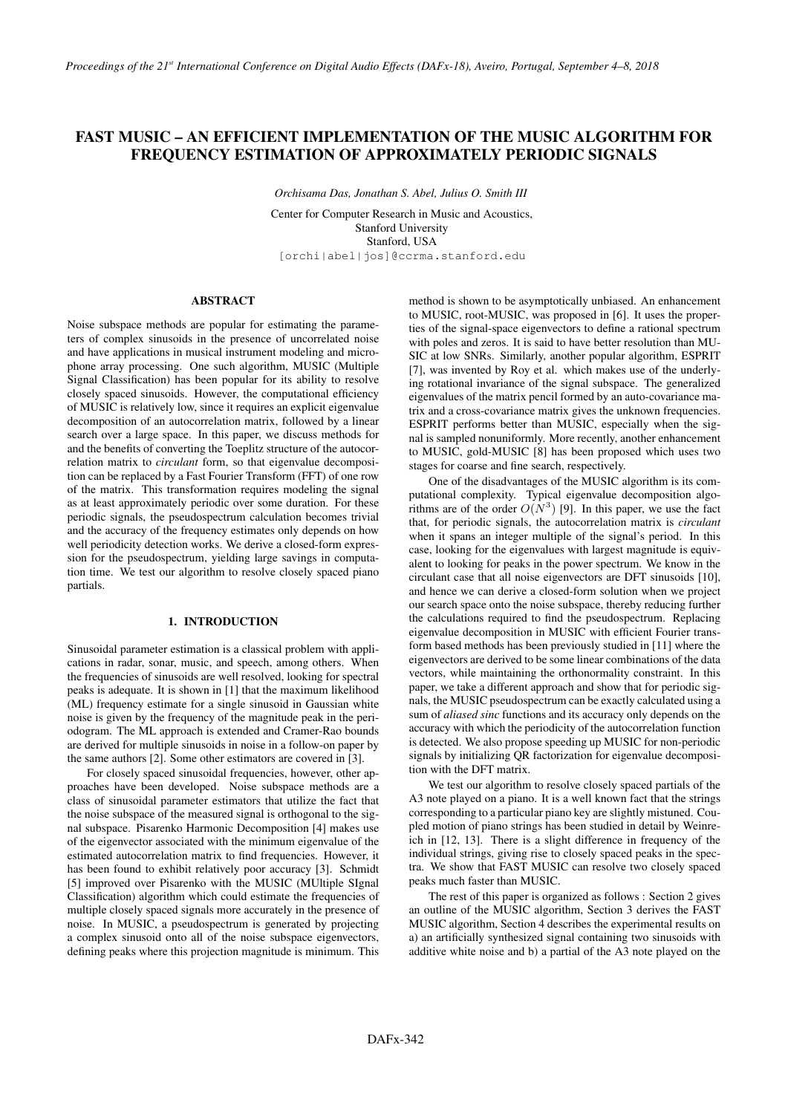# FAST MUSIC – AN EFFICIENT IMPLEMENTATION OF THE MUSIC ALGORITHM FOR FREQUENCY ESTIMATION OF APPROXIMATELY PERIODIC SIGNALS

*Orchisama Das, Jonathan S. Abel, Julius O. Smith III*

Center for Computer Research in Music and Acoustics, Stanford University Stanford, USA [orchi|abel|jos]@ccrma.stanford.edu

# ABSTRACT

Noise subspace methods are popular for estimating the parameters of complex sinusoids in the presence of uncorrelated noise and have applications in musical instrument modeling and microphone array processing. One such algorithm, MUSIC (Multiple Signal Classification) has been popular for its ability to resolve closely spaced sinusoids. However, the computational efficiency of MUSIC is relatively low, since it requires an explicit eigenvalue decomposition of an autocorrelation matrix, followed by a linear search over a large space. In this paper, we discuss methods for and the benefits of converting the Toeplitz structure of the autocorrelation matrix to *circulant* form, so that eigenvalue decomposition can be replaced by a Fast Fourier Transform (FFT) of one row of the matrix. This transformation requires modeling the signal as at least approximately periodic over some duration. For these periodic signals, the pseudospectrum calculation becomes trivial and the accuracy of the frequency estimates only depends on how well periodicity detection works. We derive a closed-form expression for the pseudospectrum, yielding large savings in computation time. We test our algorithm to resolve closely spaced piano partials.

# 1. INTRODUCTION

Sinusoidal parameter estimation is a classical problem with applications in radar, sonar, music, and speech, among others. When the frequencies of sinusoids are well resolved, looking for spectral peaks is adequate. It is shown in [1] that the maximum likelihood (ML) frequency estimate for a single sinusoid in Gaussian white noise is given by the frequency of the magnitude peak in the periodogram. The ML approach is extended and Cramer-Rao bounds are derived for multiple sinusoids in noise in a follow-on paper by the same authors [2]. Some other estimators are covered in [3].

For closely spaced sinusoidal frequencies, however, other approaches have been developed. Noise subspace methods are a class of sinusoidal parameter estimators that utilize the fact that the noise subspace of the measured signal is orthogonal to the signal subspace. Pisarenko Harmonic Decomposition [4] makes use of the eigenvector associated with the minimum eigenvalue of the estimated autocorrelation matrix to find frequencies. However, it has been found to exhibit relatively poor accuracy [3]. Schmidt [5] improved over Pisarenko with the MUSIC (MUltiple SIgnal Classification) algorithm which could estimate the frequencies of multiple closely spaced signals more accurately in the presence of noise. In MUSIC, a pseudospectrum is generated by projecting a complex sinusoid onto all of the noise subspace eigenvectors, defining peaks where this projection magnitude is minimum. This

method is shown to be asymptotically unbiased. An enhancement to MUSIC, root-MUSIC, was proposed in [6]. It uses the properties of the signal-space eigenvectors to define a rational spectrum with poles and zeros. It is said to have better resolution than MU-SIC at low SNRs. Similarly, another popular algorithm, ESPRIT [7], was invented by Roy et al. which makes use of the underlying rotational invariance of the signal subspace. The generalized eigenvalues of the matrix pencil formed by an auto-covariance matrix and a cross-covariance matrix gives the unknown frequencies. ESPRIT performs better than MUSIC, especially when the signal is sampled nonuniformly. More recently, another enhancement to MUSIC, gold-MUSIC [8] has been proposed which uses two stages for coarse and fine search, respectively.

One of the disadvantages of the MUSIC algorithm is its computational complexity. Typical eigenvalue decomposition algorithms are of the order  $O(N^3)$  [9]. In this paper, we use the fact that, for periodic signals, the autocorrelation matrix is *circulant* when it spans an integer multiple of the signal's period. In this case, looking for the eigenvalues with largest magnitude is equivalent to looking for peaks in the power spectrum. We know in the circulant case that all noise eigenvectors are DFT sinusoids [10], and hence we can derive a closed-form solution when we project our search space onto the noise subspace, thereby reducing further the calculations required to find the pseudospectrum. Replacing eigenvalue decomposition in MUSIC with efficient Fourier transform based methods has been previously studied in [11] where the eigenvectors are derived to be some linear combinations of the data vectors, while maintaining the orthonormality constraint. In this paper, we take a different approach and show that for periodic signals, the MUSIC pseudospectrum can be exactly calculated using a sum of *aliased sinc* functions and its accuracy only depends on the accuracy with which the periodicity of the autocorrelation function is detected. We also propose speeding up MUSIC for non-periodic signals by initializing QR factorization for eigenvalue decomposition with the DFT matrix.

We test our algorithm to resolve closely spaced partials of the A3 note played on a piano. It is a well known fact that the strings corresponding to a particular piano key are slightly mistuned. Coupled motion of piano strings has been studied in detail by Weinreich in [12, 13]. There is a slight difference in frequency of the individual strings, giving rise to closely spaced peaks in the spectra. We show that FAST MUSIC can resolve two closely spaced peaks much faster than MUSIC.

The rest of this paper is organized as follows : Section 2 gives an outline of the MUSIC algorithm, Section 3 derives the FAST MUSIC algorithm, Section 4 describes the experimental results on a) an artificially synthesized signal containing two sinusoids with additive white noise and b) a partial of the A3 note played on the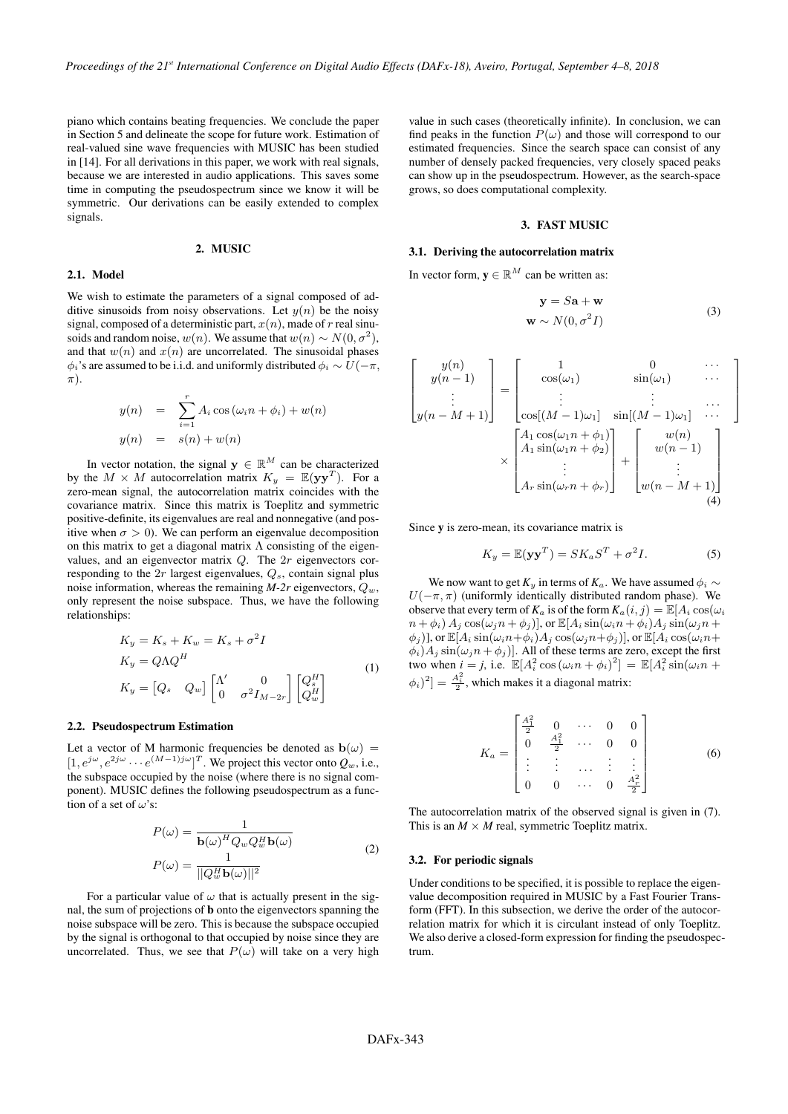piano which contains beating frequencies. We conclude the paper in Section 5 and delineate the scope for future work. Estimation of real-valued sine wave frequencies with MUSIC has been studied in [14]. For all derivations in this paper, we work with real signals, because we are interested in audio applications. This saves some time in computing the pseudospectrum since we know it will be symmetric. Our derivations can be easily extended to complex signals.

#### 2. MUSIC

# 2.1. Model

We wish to estimate the parameters of a signal composed of additive sinusoids from noisy observations. Let  $y(n)$  be the noisy signal, composed of a deterministic part,  $x(n)$ , made of  $r$  real sinusoids and random noise,  $w(n)$ . We assume that  $w(n) \sim N(0, \sigma^2)$ , and that  $w(n)$  and  $x(n)$  are uncorrelated. The sinusoidal phases  $\phi_i$ 's are assumed to be i.i.d. and uniformly distributed  $\phi_i \sim U(-\pi, \phi_i)$  $\pi$ ).

$$
y(n) = \sum_{i=1}^{r} A_i \cos(\omega_i n + \phi_i) + w(n)
$$
  

$$
y(n) = s(n) + w(n)
$$

In vector notation, the signal  $y \in \mathbb{R}^M$  can be characterized by the  $M \times M$  autocorrelation matrix  $K_y = \mathbb{E}(\mathbf{y}\mathbf{y}^T)$ . For a zero-mean signal, the autocorrelation matrix coincides with the covariance matrix. Since this matrix is Toeplitz and symmetric positive-definite, its eigenvalues are real and nonnegative (and positive when  $\sigma > 0$ ). We can perform an eigenvalue decomposition on this matrix to get a diagonal matrix  $\Lambda$  consisting of the eigenvalues, and an eigenvector matrix *Q*. The 2*r* eigenvectors corresponding to the 2*r* largest eigenvalues, *Qs*, contain signal plus noise information, whereas the remaining  $M-2r$  eigenvectors,  $Q_w$ , only represent the noise subspace. Thus, we have the following relationships:

$$
K_y = K_s + K_w = K_s + \sigma^2 I
$$
  
\n
$$
K_y = Q \Lambda Q^H
$$
  
\n
$$
K_y = [Q_s \quad Q_w] \begin{bmatrix} \Lambda' & 0 \\ 0 & \sigma^2 I_{M-2r} \end{bmatrix} \begin{bmatrix} Q_s^H \\ Q_w^H \end{bmatrix}
$$
\n(1)

#### 2.2. Pseudospectrum Estimation

Let a vector of M harmonic frequencies be denoted as  $b(\omega)$  =  $[1, e^{j\omega}, e^{2j\omega} \cdots e^{(M-1)j\omega}]^T$ . We project this vector onto  $Q_w$ , i.e., the subspace occupied by the noise (where there is no signal component). MUSIC defines the following pseudospectrum as a function of a set of  $\omega$ 's:

$$
P(\omega) = \frac{1}{\mathbf{b}(\omega)^H Q_w Q_w^H \mathbf{b}(\omega)}
$$
  

$$
P(\omega) = \frac{1}{||Q_w^H \mathbf{b}(\omega)||^2}
$$
 (2)

For a particular value of  $\omega$  that is actually present in the signal, the sum of projections of b onto the eigenvectors spanning the noise subspace will be zero. This is because the subspace occupied by the signal is orthogonal to that occupied by noise since they are uncorrelated. Thus, we see that  $P(\omega)$  will take on a very high

value in such cases (theoretically infinite). In conclusion, we can find peaks in the function  $P(\omega)$  and those will correspond to our estimated frequencies. Since the search space can consist of any number of densely packed frequencies, very closely spaced peaks can show up in the pseudospectrum. However, as the search-space grows, so does computational complexity.

### 3. FAST MUSIC

# 3.1. Deriving the autocorrelation matrix

In vector form,  $y \in \mathbb{R}^M$  can be written as:

$$
\mathbf{y} = S\mathbf{a} + \mathbf{w}
$$
  

$$
\mathbf{w} \sim N(0, \sigma^2 I)
$$
 (3)

3  $\overline{1}$  $\mathbf{I}$  $\mathbf{I}$  $\overline{1}$ 

$$
\begin{bmatrix} y(n) \\ y(n-1) \\ \vdots \\ y(n-M+1) \end{bmatrix} = \begin{bmatrix} 1 & 0 & \cdots \\ \cos(\omega_1) & \sin(\omega_1) & \cdots \\ \vdots & \vdots & \ddots \\ \cos[(M-1)\omega_1] & \sin[(M-1)\omega_1] & \cdots \\ \vdots & \vdots & \ddots \\ A_1 \sin(\omega_1 n + \phi_2) \\ \vdots \\ A_r \sin(\omega_r n + \phi_r) \end{bmatrix} + \begin{bmatrix} w(n) \\ w(n-1) \\ \vdots \\ w(n-M+1) \\ \vdots \\ w(n-M+1) \end{bmatrix}
$$
 (4)

Since y is zero-mean, its covariance matrix is

$$
K_y = \mathbb{E}(\mathbf{y}\mathbf{y}^T) = SK_a S^T + \sigma^2 I.
$$
 (5)

We now want to get  $K_y$  in terms of  $K_a$ . We have assumed  $\phi_i \sim$  $U(-\pi, \pi)$  (uniformly identically distributed random phase). We observe that every term of  $K_a$  is of the form  $K_a(i, j) = \mathbb{E}[A_i \cos(\omega_i)]$  $n + \phi_i$ )  $A_i \cos(\omega_i n + \phi_i)$ , or  $\mathbb{E}[A_i \sin(\omega_i n + \phi_i) A_i \sin(\omega_i n + \phi_i)]$  $\phi_j$ )], or  $\mathbb{E}[A_i \sin(\omega_i n + \phi_i) A_j \cos(\omega_j n + \phi_j)]$ , or  $\mathbb{E}[A_i \cos(\omega_i n + \phi_j) A_j \cos(\omega_j n + \phi_j)]$  $\phi_i$ ) $A_j$  sin $(\omega_j n + \phi_j)$ . All of these terms are zero, except the first two when  $i = j$ , i.e.  $\mathbb{E}[A_i^2 \cos(\omega_i n + \phi_i)^2] = \mathbb{E}[A_i^2 \sin(\omega_i n +$  $\left[\phi_i\right)^2$  =  $\frac{A_i^2}{2}$ , which makes it a diagonal matrix:

$$
K_a = \begin{bmatrix} \frac{A_1^2}{2} & 0 & \cdots & 0 & 0\\ 0 & \frac{A_1^2}{2} & \cdots & 0 & 0\\ \vdots & \vdots & \cdots & \vdots & \vdots\\ 0 & 0 & \cdots & 0 & \frac{A_r^2}{2} \end{bmatrix}
$$
 (6)

The autocorrelation matrix of the observed signal is given in (7). This is an  $M \times M$  real, symmetric Toeplitz matrix.

### 3.2. For periodic signals

Under conditions to be specified, it is possible to replace the eigenvalue decomposition required in MUSIC by a Fast Fourier Transform (FFT). In this subsection, we derive the order of the autocorrelation matrix for which it is circulant instead of only Toeplitz. We also derive a closed-form expression for finding the pseudospectrum.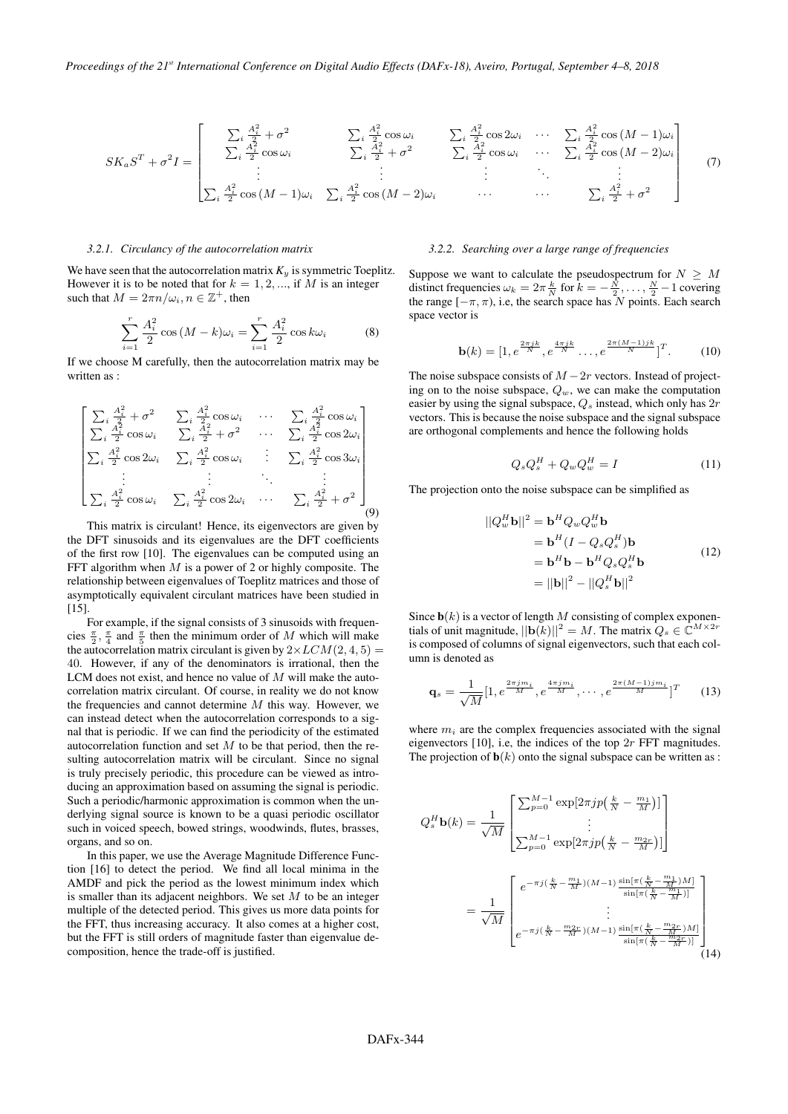$$
SK_a S^T + \sigma^2 I = \begin{bmatrix} \sum_i \frac{A_i^2}{2} + \sigma^2 & \sum_i \frac{A_i^2}{2} \cos \omega_i & \sum_i \frac{A_i^2}{2} \cos 2\omega_i & \cdots & \sum_i \frac{A_i^2}{2} \cos (M-1)\omega_i \\ \sum_i \frac{A_i^2}{2} \cos \omega_i & \sum_i \frac{A_i^2}{2} + \sigma^2 & \sum_i \frac{A_i^2}{2} \cos \omega_i & \cdots & \sum_i \frac{A_i^2}{2} \cos (M-2)\omega_i \\ \vdots & \vdots & \ddots & \vdots \\ \sum_i \frac{A_i^2}{2} \cos (M-1)\omega_i & \sum_i \frac{A_i^2}{2} \cos (M-2)\omega_i & \cdots & \sum_i \frac{A_i^2}{2} + \sigma^2 \end{bmatrix} \tag{7}
$$

#### *3.2.1. Circulancy of the autocorrelation matrix*

We have seen that the autocorrelation matrix  $K<sub>y</sub>$  is symmetric Toeplitz. However it is to be noted that for  $k = 1, 2, \dots$ , if M is an integer such that  $M = 2\pi n/\omega_i, n \in \mathbb{Z}^+$ , then

$$
\sum_{i=1}^{r} \frac{A_i^2}{2} \cos \left(M - k\right) \omega_i = \sum_{i=1}^{r} \frac{A_i^2}{2} \cos k \omega_i \tag{8}
$$

If we choose M carefully, then the autocorrelation matrix may be written as :

$$
\begin{bmatrix}\n\sum_{i} \frac{A_{i}^{2}}{2} + \sigma^{2} & \sum_{i} \frac{A_{i}^{2}}{2} \cos \omega_{i} & \cdots & \sum_{i} \frac{A_{i}^{2}}{2} \cos \omega_{i} \\
\sum_{i} \frac{A_{i}^{2}}{2} \cos \omega_{i} & \sum_{i} \frac{A_{i}^{2}}{2} + \sigma^{2} & \cdots & \sum_{i} \frac{A_{i}^{2}}{2} \cos 2\omega_{i} \\
\sum_{i} \frac{A_{i}^{2}}{2} \cos 2\omega_{i} & \sum_{i} \frac{A_{i}^{2}}{2} \cos \omega_{i} & \vdots & \sum_{i} \frac{A_{i}^{2}}{2} \cos 3\omega_{i} \\
\vdots & \vdots & \ddots & \vdots \\
\sum_{i} \frac{A_{i}^{2}}{2} \cos \omega_{i} & \sum_{i} \frac{A_{i}^{2}}{2} \cos 2\omega_{i} & \cdots & \sum_{i} \frac{A_{i}^{2}}{2} + \sigma^{2}\n\end{bmatrix}
$$
\n(9)

This matrix is circulant! Hence, its eigenvectors are given by the DFT sinusoids and its eigenvalues are the DFT coefficients of the first row [10]. The eigenvalues can be computed using an FFT algorithm when *M* is a power of 2 or highly composite. The relationship between eigenvalues of Toeplitz matrices and those of asymptotically equivalent circulant matrices have been studied in  $[15]$ .

For example, if the signal consists of 3 sinusoids with frequencies  $\frac{\pi}{2}$ ,  $\frac{\pi}{4}$  and  $\frac{\pi}{5}$  then the minimum order of *M* which will make the autocorrelation matrix circulant is given by  $2 \times LCM(2, 4, 5) =$ 40. However, if any of the denominators is irrational, then the LCM does not exist, and hence no value of *M* will make the autocorrelation matrix circulant. Of course, in reality we do not know the frequencies and cannot determine *M* this way. However, we can instead detect when the autocorrelation corresponds to a signal that is periodic. If we can find the periodicity of the estimated autocorrelation function and set *M* to be that period, then the resulting autocorrelation matrix will be circulant. Since no signal is truly precisely periodic, this procedure can be viewed as introducing an approximation based on assuming the signal is periodic. Such a periodic/harmonic approximation is common when the underlying signal source is known to be a quasi periodic oscillator such in voiced speech, bowed strings, woodwinds, flutes, brasses, organs, and so on.

In this paper, we use the Average Magnitude Difference Function [16] to detect the period. We find all local minima in the AMDF and pick the period as the lowest minimum index which is smaller than its adjacent neighbors. We set *M* to be an integer multiple of the detected period. This gives us more data points for the FFT, thus increasing accuracy. It also comes at a higher cost, but the FFT is still orders of magnitude faster than eigenvalue decomposition, hence the trade-off is justified.

### *3.2.2. Searching over a large range of frequencies*

Suppose we want to calculate the pseudospectrum for  $N \geq M$ distinct frequencies  $\omega_k = 2\pi \frac{k}{N}$  for  $k = -\frac{N}{2}, \ldots, \frac{N}{2} - 1$  covering the range  $[-\pi, \pi)$ , i.e, the search space has *N* points. Each search space vector is

$$
\mathbf{b}(k) = [1, e^{\frac{2\pi jk}{N}}, e^{\frac{4\pi jk}{N}}, \dots, e^{\frac{2\pi (M-1)jk}{N}}]^T.
$$
 (10)

The noise subspace consists of  $M-2r$  vectors. Instead of projecting on to the noise subspace,  $Q_w$ , we can make the computation easier by using the signal subspace, *Q<sup>s</sup>* instead, which only has 2*r* vectors. This is because the noise subspace and the signal subspace are orthogonal complements and hence the following holds

$$
Q_s Q_s^H + Q_w Q_w^H = I \tag{11}
$$

The projection onto the noise subspace can be simplified as

$$
||Q_w^H \mathbf{b}||^2 = \mathbf{b}^H Q_w Q_w^H \mathbf{b}
$$
  
=  $\mathbf{b}^H (I - Q_s Q_s^H) \mathbf{b}$   
=  $\mathbf{b}^H \mathbf{b} - \mathbf{b}^H Q_s Q_s^H \mathbf{b}$  (12)  
=  $||\mathbf{b}||^2 - ||Q_s^H \mathbf{b}||^2$ 

Since  $\mathbf{b}(k)$  is a vector of length *M* consisting of complex exponentials of unit magnitude,  $||\mathbf{b}(\vec{k})||^2 = M$ . The matrix  $Q_s \in \mathbb{C}^{M \times 2r}$ is composed of columns of signal eigenvectors, such that each column is denoted as

$$
\mathbf{q}_s = \frac{1}{\sqrt{M}} [1, e^{\frac{2\pi j m_i}{M}}, e^{\frac{4\pi j m_i}{M}}, \cdots, e^{\frac{2\pi (M-1) j m_i}{M}}]^T
$$
(13)

where  $m_i$  are the complex frequencies associated with the signal eigenvectors [10], i.e, the indices of the top 2*r* FFT magnitudes. The projection of  $\mathbf{b}(k)$  onto the signal subspace can be written as :

$$
Q_s^H \mathbf{b}(k) = \frac{1}{\sqrt{M}} \begin{bmatrix} \sum_{p=0}^{M-1} \exp[2\pi j p\left(\frac{k}{N} - \frac{m_1}{M}\right)] \\ \vdots \\ \sum_{p=0}^{M-1} \exp[2\pi j p\left(\frac{k}{N} - \frac{m_{2r}}{M}\right)] \end{bmatrix}
$$

$$
= \frac{1}{\sqrt{M}} \begin{bmatrix} e^{-\pi j\left(\frac{k}{N} - \frac{m_1}{M}\right)(M-1)} \frac{\sin[\pi\left(\frac{k}{N} - \frac{m_1}{M}\right)M]}{\sin[\pi\left(\frac{k}{N} - \frac{m_1}{M}\right)]} \\ \vdots \\ e^{-\pi j\left(\frac{k}{N} - \frac{m_{2r}}{M}\right)(M-1)} \frac{\sin[\pi\left(\frac{k}{N} - \frac{m_{2r}}{M}\right)M]}{\sin[\pi\left(\frac{k}{N} - \frac{m_{2r}}{M}\right)]} \end{bmatrix}
$$
(14)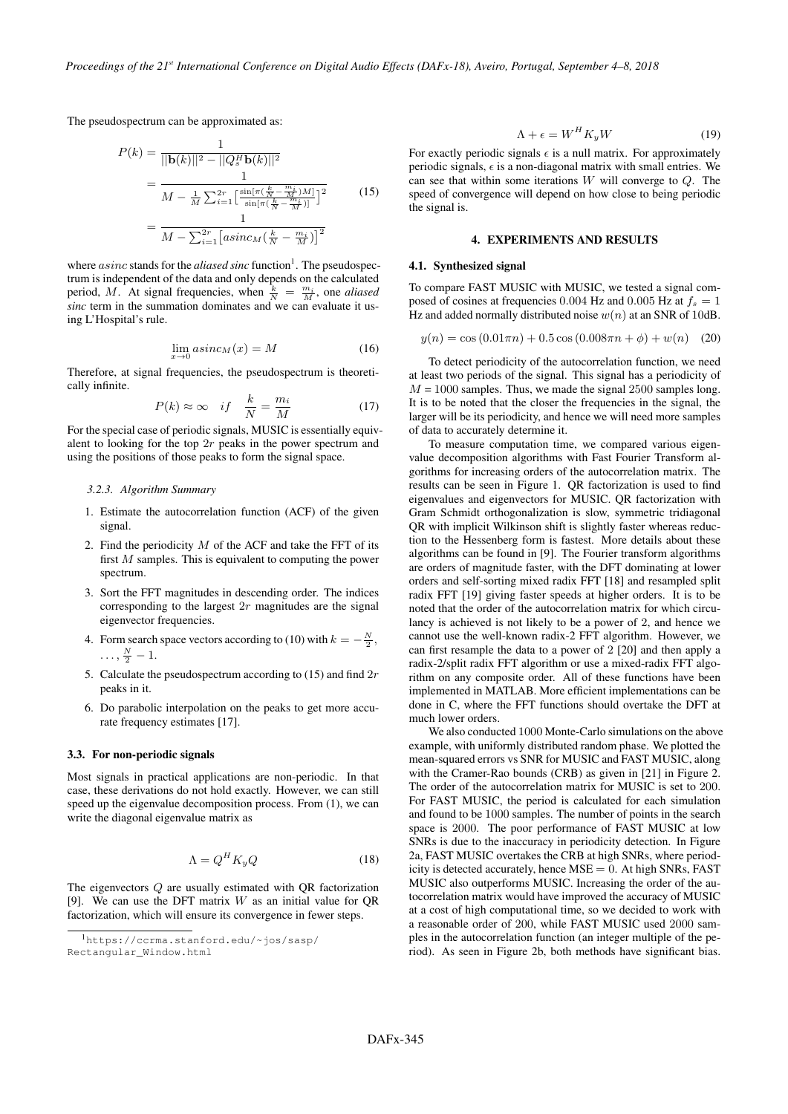The pseudospectrum can be approximated as:

$$
P(k) = \frac{1}{||\mathbf{b}(k)||^2 - ||Q_s^H \mathbf{b}(k)||^2}
$$
  
= 
$$
\frac{1}{M - \frac{1}{M} \sum_{i=1}^{2r} \left[\frac{\sin[\pi(\frac{k}{N} - \frac{m_i}{M})M]}{\sin[\pi(\frac{k}{N} - \frac{m_i}{M})]}\right]^2}
$$
(15)  
= 
$$
\frac{1}{M - \sum_{i=1}^{2r} \left[ a \sin c_M (\frac{k}{N} - \frac{m_i}{M}) \right]^2}
$$

where *asinc* stands for the *aliased sinc* function<sup>1</sup>. The pseudospectrum is independent of the data and only depends on the calculated period, *M*. At signal frequencies, when  $\frac{k}{N} = \frac{m_i}{M}$ , one *aliased sinc* term in the summation dominates and we can evaluate it using L'Hospital's rule.

$$
\lim_{x \to 0} \operatorname{asinc}_M(x) = M \tag{16}
$$

Therefore, at signal frequencies, the pseudospectrum is theoretically infinite.

$$
P(k) \approx \infty \quad if \quad \frac{k}{N} = \frac{m_i}{M} \tag{17}
$$

For the special case of periodic signals, MUSIC is essentially equivalent to looking for the top 2*r* peaks in the power spectrum and using the positions of those peaks to form the signal space.

# *3.2.3. Algorithm Summary*

- 1. Estimate the autocorrelation function (ACF) of the given signal.
- 2. Find the periodicity *M* of the ACF and take the FFT of its first *M* samples. This is equivalent to computing the power spectrum.
- 3. Sort the FFT magnitudes in descending order. The indices corresponding to the largest 2*r* magnitudes are the signal eigenvector frequencies.
- 4. Form search space vectors according to (10) with  $k = -\frac{N}{2}$ ,  $\ldots, \frac{N}{2}-1.$
- 5. Calculate the pseudospectrum according to (15) and find 2*r* peaks in it.
- 6. Do parabolic interpolation on the peaks to get more accurate frequency estimates [17].

#### 3.3. For non-periodic signals

Most signals in practical applications are non-periodic. In that case, these derivations do not hold exactly. However, we can still speed up the eigenvalue decomposition process. From (1), we can write the diagonal eigenvalue matrix as

$$
\Lambda = Q^H K_y Q \tag{18}
$$

The eigenvectors *Q* are usually estimated with QR factorization [9]. We can use the DFT matrix *W* as an initial value for QR factorization, which will ensure its convergence in fewer steps.

$$
\Lambda + \epsilon = W^H K_y W \tag{19}
$$

For exactly periodic signals  $\epsilon$  is a null matrix. For approximately periodic signals,  $\epsilon$  is a non-diagonal matrix with small entries. We can see that within some iterations *W* will converge to *Q*. The speed of convergence will depend on how close to being periodic the signal is.

# 4. EXPERIMENTS AND RESULTS

#### 4.1. Synthesized signal

To compare FAST MUSIC with MUSIC, we tested a signal composed of cosines at frequencies 0.004 Hz and 0.005 Hz at  $f_s = 1$ Hz and added normally distributed noise  $w(n)$  at an SNR of 10dB.

$$
y(n) = \cos(0.01\pi n) + 0.5\cos(0.008\pi n + \phi) + w(n) \quad (20)
$$

To detect periodicity of the autocorrelation function, we need at least two periods of the signal. This signal has a periodicity of  $M = 1000$  samples. Thus, we made the signal 2500 samples long. It is to be noted that the closer the frequencies in the signal, the larger will be its periodicity, and hence we will need more samples of data to accurately determine it.

To measure computation time, we compared various eigenvalue decomposition algorithms with Fast Fourier Transform algorithms for increasing orders of the autocorrelation matrix. The results can be seen in Figure 1. QR factorization is used to find eigenvalues and eigenvectors for MUSIC. QR factorization with Gram Schmidt orthogonalization is slow, symmetric tridiagonal QR with implicit Wilkinson shift is slightly faster whereas reduction to the Hessenberg form is fastest. More details about these algorithms can be found in [9]. The Fourier transform algorithms are orders of magnitude faster, with the DFT dominating at lower orders and self-sorting mixed radix FFT [18] and resampled split radix FFT [19] giving faster speeds at higher orders. It is to be noted that the order of the autocorrelation matrix for which circulancy is achieved is not likely to be a power of 2, and hence we cannot use the well-known radix-2 FFT algorithm. However, we can first resample the data to a power of 2 [20] and then apply a radix-2/split radix FFT algorithm or use a mixed-radix FFT algorithm on any composite order. All of these functions have been implemented in MATLAB. More efficient implementations can be done in C, where the FFT functions should overtake the DFT at much lower orders.

We also conducted 1000 Monte-Carlo simulations on the above example, with uniformly distributed random phase. We plotted the mean-squared errors vs SNR for MUSIC and FAST MUSIC, along with the Cramer-Rao bounds (CRB) as given in [21] in Figure 2. The order of the autocorrelation matrix for MUSIC is set to 200. For FAST MUSIC, the period is calculated for each simulation and found to be 1000 samples. The number of points in the search space is 2000. The poor performance of FAST MUSIC at low SNRs is due to the inaccuracy in periodicity detection. In Figure 2a, FAST MUSIC overtakes the CRB at high SNRs, where periodicity is detected accurately, hence  $MSE = 0$ . At high SNRs, FAST MUSIC also outperforms MUSIC. Increasing the order of the autocorrelation matrix would have improved the accuracy of MUSIC at a cost of high computational time, so we decided to work with a reasonable order of 200, while FAST MUSIC used 2000 samples in the autocorrelation function (an integer multiple of the period). As seen in Figure 2b, both methods have significant bias.

<sup>1</sup>https://ccrma.stanford.edu/~jos/sasp/ Rectangular\_Window.html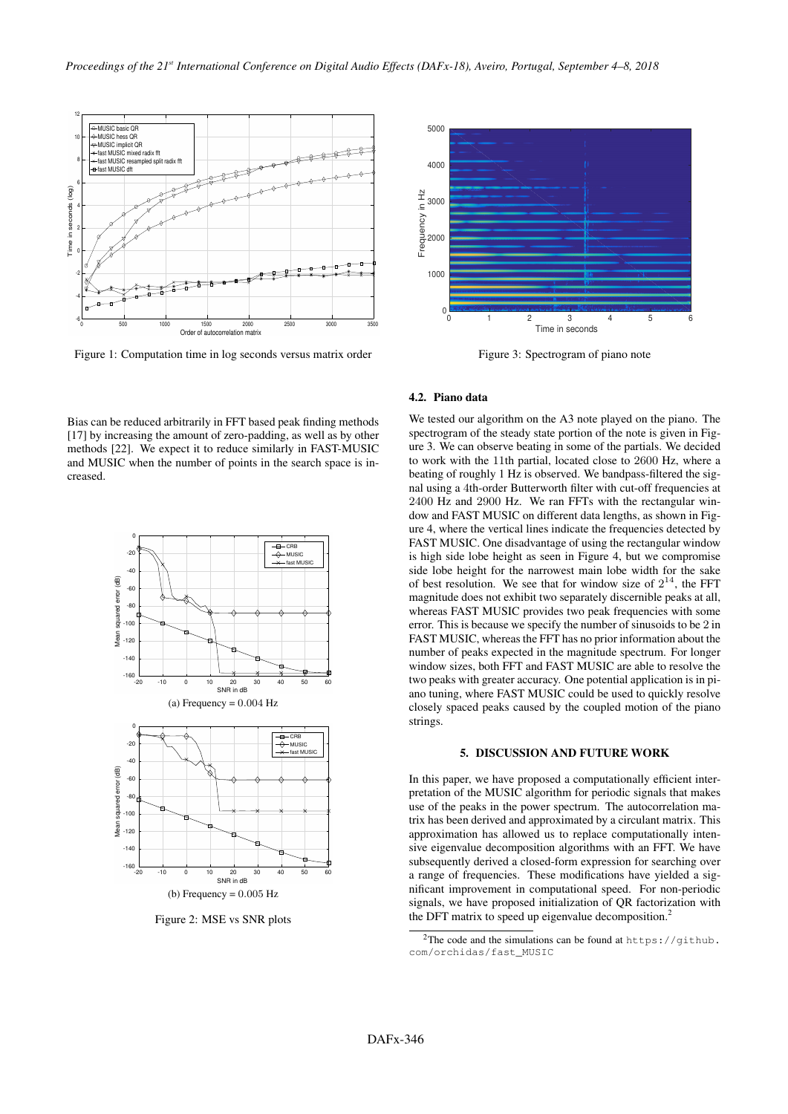

Figure 1: Computation time in log seconds versus matrix order



Figure 3: Spectrogram of piano note

# 4.2. Piano data

Bias can be reduced arbitrarily in FFT based peak finding methods [17] by increasing the amount of zero-padding, as well as by other methods [22]. We expect it to reduce similarly in FAST-MUSIC and MUSIC when the number of points in the search space is increased.



Figure 2: MSE vs SNR plots

We tested our algorithm on the A3 note played on the piano. The spectrogram of the steady state portion of the note is given in Figure 3. We can observe beating in some of the partials. We decided to work with the 11th partial, located close to 2600 Hz, where a beating of roughly 1 Hz is observed. We bandpass-filtered the signal using a 4th-order Butterworth filter with cut-off frequencies at 2400 Hz and 2900 Hz. We ran FFTs with the rectangular window and FAST MUSIC on different data lengths, as shown in Figure 4, where the vertical lines indicate the frequencies detected by FAST MUSIC. One disadvantage of using the rectangular window is high side lobe height as seen in Figure 4, but we compromise side lobe height for the narrowest main lobe width for the sake of best resolution. We see that for window size of  $2^{14}$ , the FFT magnitude does not exhibit two separately discernible peaks at all, whereas FAST MUSIC provides two peak frequencies with some error. This is because we specify the number of sinusoids to be 2 in FAST MUSIC, whereas the FFT has no prior information about the number of peaks expected in the magnitude spectrum. For longer window sizes, both FFT and FAST MUSIC are able to resolve the two peaks with greater accuracy. One potential application is in piano tuning, where FAST MUSIC could be used to quickly resolve closely spaced peaks caused by the coupled motion of the piano strings.

## 5. DISCUSSION AND FUTURE WORK

In this paper, we have proposed a computationally efficient interpretation of the MUSIC algorithm for periodic signals that makes use of the peaks in the power spectrum. The autocorrelation matrix has been derived and approximated by a circulant matrix. This approximation has allowed us to replace computationally intensive eigenvalue decomposition algorithms with an FFT. We have subsequently derived a closed-form expression for searching over a range of frequencies. These modifications have yielded a significant improvement in computational speed. For non-periodic signals, we have proposed initialization of QR factorization with the DFT matrix to speed up eigenvalue decomposition.<sup>2</sup>

<sup>&</sup>lt;sup>2</sup>The code and the simulations can be found at  $https://github.$ com/orchidas/fast\_MUSIC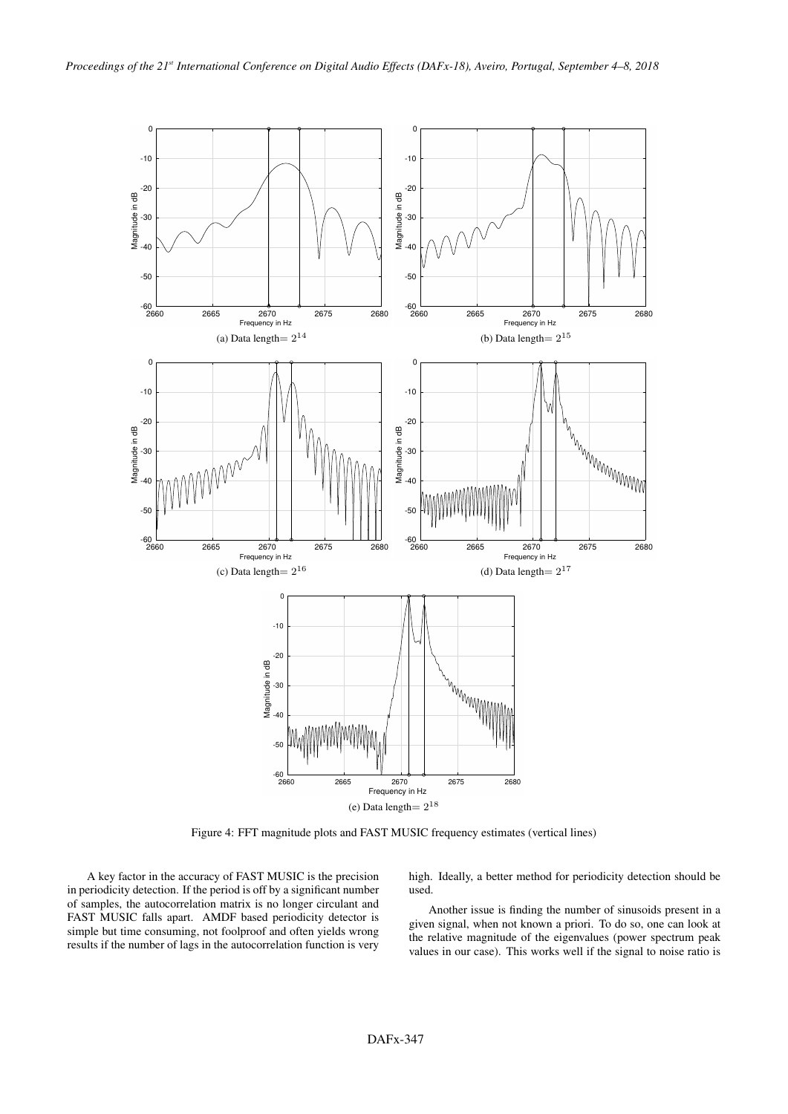

Figure 4: FFT magnitude plots and FAST MUSIC frequency estimates (vertical lines)

A key factor in the accuracy of FAST MUSIC is the precision in periodicity detection. If the period is off by a significant number of samples, the autocorrelation matrix is no longer circulant and FAST MUSIC falls apart. AMDF based periodicity detector is simple but time consuming, not foolproof and often yields wrong results if the number of lags in the autocorrelation function is very

high. Ideally, a better method for periodicity detection should be used.

Another issue is finding the number of sinusoids present in a given signal, when not known a priori. To do so, one can look at the relative magnitude of the eigenvalues (power spectrum peak values in our case). This works well if the signal to noise ratio is